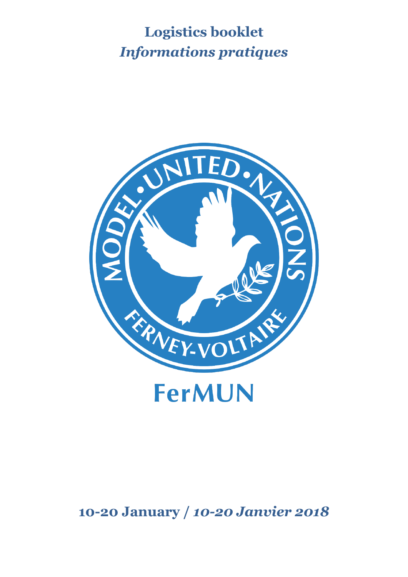# **Logistics booklet** *Informations pratiques*



**10-20 January /** *10-20 Janvier 2018*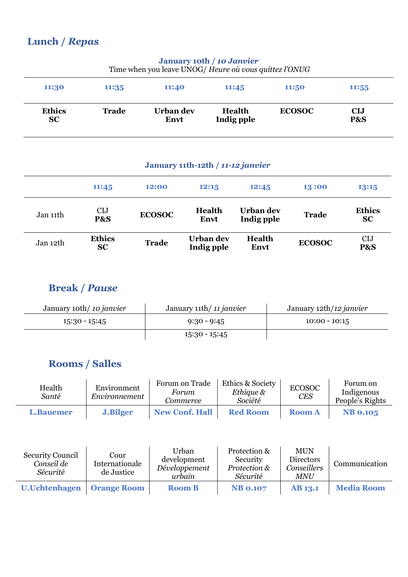## **Lunch /** *Repas*

| Time when you leave UNOG/ Heure où vous quittez l'ONUG |                                           |                   |                             |               |                   |  |
|--------------------------------------------------------|-------------------------------------------|-------------------|-----------------------------|---------------|-------------------|--|
| 11:30                                                  | 11:35<br>11:40<br>11:50<br>11:45<br>11:55 |                   |                             |               |                   |  |
| <b>Ethics</b><br>SC                                    | <b>Trade</b>                              | Urban dev<br>Envt | <b>Health</b><br>Indig pple | <b>ECOSOC</b> | <b>CIJ</b><br>P&S |  |

# **January 10th /** *10 Janvier*

#### **January 11th-12th /** *11-12 janvier*

|          | 11:45                      | 12:00         | 12:15                   | 12:45                   | 13:00         | 13:15                      |
|----------|----------------------------|---------------|-------------------------|-------------------------|---------------|----------------------------|
| Jan 11th | <b>CIJ</b><br>P&S          | <b>ECOSOC</b> | <b>Health</b><br>Envt   | Urban dev<br>Indig pple | <b>Trade</b>  | <b>Ethics</b><br><b>SC</b> |
| Jan 12th | <b>Ethics</b><br><b>SC</b> | <b>Trade</b>  | Urban dev<br>Indig pple | <b>Health</b><br>Envt   | <b>ECOSOC</b> | <b>CIJ</b><br>P&S          |

#### **Break /** *Pause*

| January 10th/10 janvier | January 11th/11 janvier | January 12th/12 janvier |  |
|-------------------------|-------------------------|-------------------------|--|
| 15:30 - 15:45           | $9:30 - 9:45$           | $10:00 - 10:15$         |  |
|                         | $15:30 - 15:45$         |                         |  |

#### **Rooms / Salles**

| Health<br>Santé  | Environment<br>Environnement | Forum on Trade<br>Forum<br>Commerce | Ethics & Society<br>Ethique &<br>Société | <b>ECOSOC</b><br><b>CES</b> | Forum on<br>Indigenous<br>People's Rights |
|------------------|------------------------------|-------------------------------------|------------------------------------------|-----------------------------|-------------------------------------------|
| <b>L.Bauemer</b> | <b>J.Bilger</b>              | <b>New Conf. Hall</b>               | <b>Red Room</b>                          | <b>Room A</b>               | <b>NB 0.105</b>                           |

| <b>Security Council</b><br>Conseil de<br>Sécurité | Cour<br>Internationale<br>de Justice | Urban<br>development<br>Développement<br>urbain | Protection &<br>Security<br>Protection &<br>Sécurité | <b>MUN</b><br><b>Directors</b><br>Conseillers<br><b>MNU</b> | Communication     |
|---------------------------------------------------|--------------------------------------|-------------------------------------------------|------------------------------------------------------|-------------------------------------------------------------|-------------------|
| U.Uchtenhagen                                     | <b>Orange Room</b>                   | <b>Room B</b>                                   | <b>NB 0.107</b>                                      | <b>AB</b> 13.1                                              | <b>Media Room</b> |